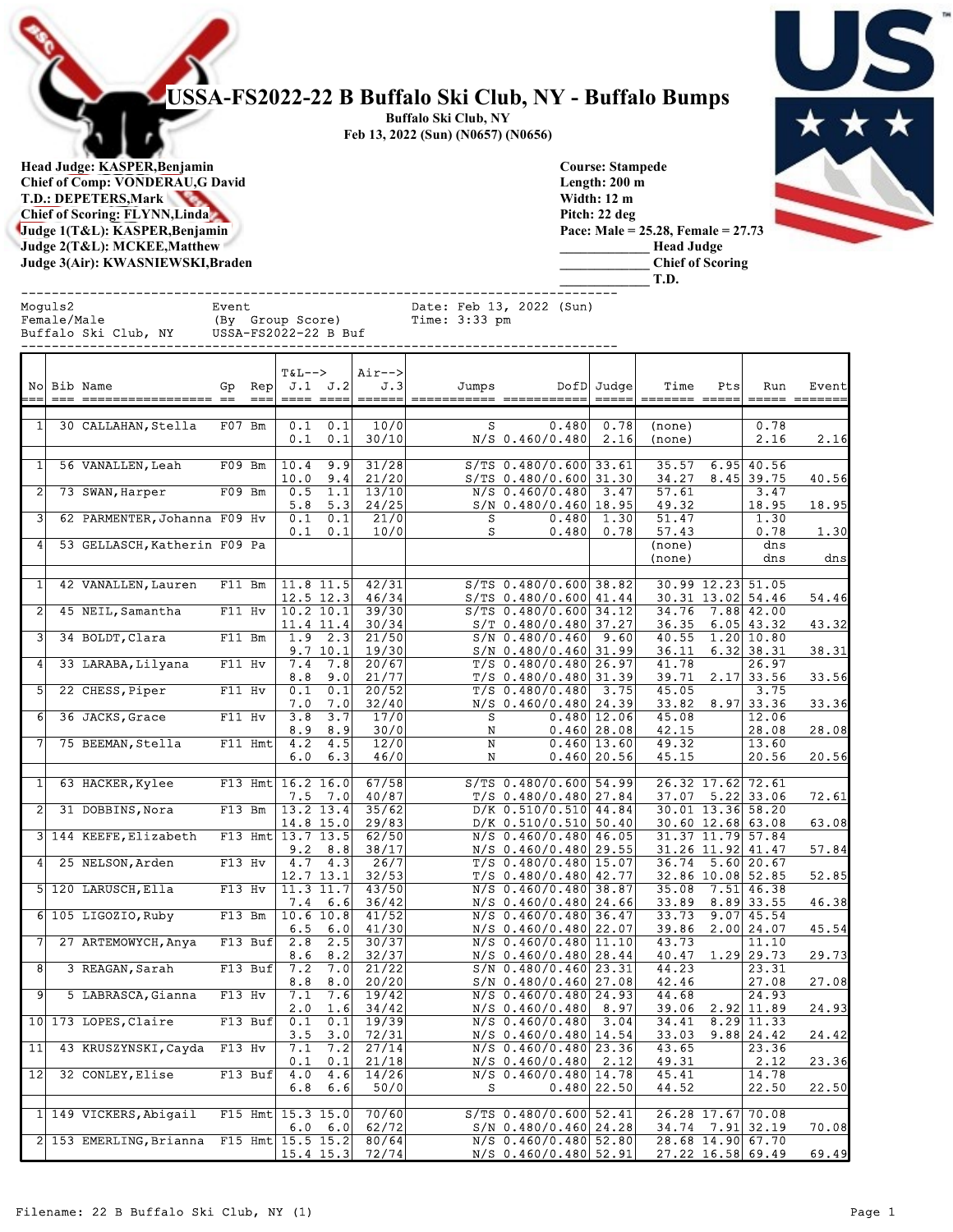## USSA-FS2022-22 B Buffalo Ski Club, NY - Buffalo Bumps

Buffalo Ski Club, NY Feb 13, 2022 (Sun) (N0657) (N0656)

Head Judge: KASPER,Benjamin Chief of Comp: VONDERAU,G David T.D.: DEPETERS,Mark Chief of Scoring: FLYNN,Linda Judge 1(T&L): KASPER,Benjamin Judge 2(T&L): MCKEE,Matthew Judge 3(Air): KWASNIEWSKI,Braden

|  | Ç |  |
|--|---|--|
|  |   |  |
|  |   |  |

Course: Stampede Length: 200 m Width: 12 m Pitch: 22 deg Pace: Male = 25.28, Female = 27.73 \_\_\_\_\_\_\_\_\_\_\_\_\_ Head Judge \_\_\_\_\_\_\_\_\_\_\_\_\_ Chief of Scoring \_\_\_\_\_\_\_\_\_\_\_\_\_ T.D.

------------------------------------------------------------------------------ Moguls2 Event Date: Feb 13, 2022 (Sun)<br>
Female/Male (By Group Score) Time: 3:33 pm Female/Male (By Group Score) Time: 3:33 pm Buffalo Ski Club, NY USSA-FS2022-22 B Buf

|                | No Bib Name                  | Gp        | $\mathop{\rm Rep}\nolimits $<br>$==$ | $T&L-->$<br>==== ====        | J.1 J.2                          | Air--><br>J.3<br>====== | Jumps  |                                                      | DofD Judge<br>=====           | Time             | Pts                                          | Run                          | Event |
|----------------|------------------------------|-----------|--------------------------------------|------------------------------|----------------------------------|-------------------------|--------|------------------------------------------------------|-------------------------------|------------------|----------------------------------------------|------------------------------|-------|
| $1\vert$       | 30 CALLAHAN, Stella          | F07 Bm    |                                      | 0.1                          | $0.1 \quad 0.1$<br>0.1           | 10/0<br>30/10           | s      | 0.480<br>$N/S$ 0.460/0.480                           | 0.78<br>2.16                  | (none)<br>(none) |                                              | 0.78<br>2.16                 | 2.16  |
| 1 <sup>1</sup> | 56 VANALLEN, Leah            | $F09$ Bm  |                                      | 10.4<br>10.0                 | 9.9<br>9.4                       | 31/28<br>21/20          |        | $S/TS$ 0.480/0.600 33.61<br>$S/TS$ 0.480/0.600 31.30 |                               | 35.57<br>34.27   |                                              | $6.95$ 40.56<br>$8.45$ 39.75 | 40.56 |
| 2              | 73 SWAN, Harper              | $F09$ Bm  |                                      | 0.5<br>5.8                   | 1.1<br>5.3                       | 13/10<br>24/25          |        | $N/S$ 0.460/0.480 3.47<br>$S/N$ 0.480/0.460 18.95    |                               | 57.61<br>49.32   |                                              | 3.47<br>18.95                | 18.95 |
| 3              | 62 PARMENTER, Johanna F09 Hv |           |                                      | 0.1<br>0.1                   | 0.1<br>0.1                       | 21/0<br>10/0            | s<br>s |                                                      | $0.480 $ 1.30<br>0.480 0.78   | 51.47<br>57.43   |                                              | 1.30<br>0.78                 | 1.30  |
|                | 53 GELLASCH, Katherin F09 Pa |           |                                      |                              |                                  |                         |        |                                                      |                               | (none)<br>(none) |                                              | dns<br>dns                   | dns   |
| 1              | 42 VANALLEN, Lauren          | F11 Bm    |                                      | $11.8$ 11.5<br>$12.5$ 12.3   |                                  | 42/31<br>46/34          |        | $S/TS$ 0.480/0.600 38.82<br>$S/TS$ 0.480/0.600 41.44 |                               |                  | 30.99 12.23 51.05<br>30.31 13.02 54.46       |                              | 54.46 |
| 2              | 45 NEIL, Samantha            | F11 Hv    |                                      | $10.2$ 10.1<br>11.4 11.4     |                                  | 39/30<br>30/34          |        | $S/TS$ 0.480/0.600 34.12<br>$S/T$ 0.480/0.480 37.27  |                               |                  | $34.76$ 7.88 42.00<br>$36.35$ 6.05 43.32     |                              | 43.32 |
| 31             | 34 BOLDT, Clara              | F11 Bm    |                                      |                              | $1.9$ 2.3<br>9.7 10.1            | 21/50<br>19/30          |        | $S/N$ 0.480/0.460 9.60<br>$S/N$ 0.480/0.460 31.99    |                               | 36.11            | 40.55 1.20 10.80                             | $6.32$ 38.31                 | 38.31 |
| 4 <sup>1</sup> | 33 LARABA, Lilyana           | $F11$ Hv  |                                      | 8.8                          | $7.4$ $7.8$<br>9.0               | 20/67<br>21/77          |        | $T/S$ 0.480/0.480 26.97<br>$T/S$ 0.480/0.480 31.39   |                               | 41.78<br>39.71   |                                              | 26.97<br>$2.17$ 33.56        | 33.56 |
| 5 <sup>1</sup> | 22 CHESS, Piper              | $F11$ Hv  |                                      | 0.1<br>7.0                   | 0.1<br>7.0                       | 20/52<br>32/40          |        | $T/S$ 0.480/0.480 3.75<br>$N/S$ 0.460/0.480 24.39    |                               | 45.05<br>33.82   |                                              | 3.75<br>$8.97$ 33.36         | 33.36 |
| 6              | 36 JACKS, Grace              | $F11$ Hv  |                                      | 3.8<br>8.9                   | 3.7<br>8.9                       | 17/0<br>30/0            | s<br>N |                                                      | 0.480 12.06 <br>0.460 28.08   | 45.08<br>42.15   |                                              | 12.06<br>28.08               | 28.08 |
| 7 L            | 75 BEEMAN, Stella            | $F11$ Hmt |                                      | 4.2<br>6.0                   | 4.5<br>6.3                       | 12/0<br>46/0            | N<br>N |                                                      | 0.460 13.60 <br>$0.460$ 20.56 | 49.32<br>45.15   |                                              | 13.60<br>20.56               | 20.56 |
|                |                              |           |                                      |                              |                                  |                         |        |                                                      |                               |                  |                                              |                              |       |
| $1\vert$       | 63 HACKER, Kylee             |           |                                      | F13 Hmt $16.2$ 16.0          | $7.5$ $7.0$                      | 67/58<br>40/87          |        | $S/TS$ 0.480/0.600 54.99<br>$T/S$ 0.480/0.480 27.84  |                               |                  | 26.32 17.62 72.61<br>$37.07$ $5.22$ 33.06    |                              | 72.61 |
|                | 2 31 DOBBINS, Nora           | $F13$ Bm  |                                      | 13.2 13.4<br>$14.8$ 15.0     |                                  | 35/62<br>29/83          |        | $D/K$ 0.510/0.510 44.84<br>$D/K$ 0.510/0.510 50.40   |                               |                  | 30.01 13.36 58.20<br>$30.60$ 12.68 63.08     |                              | 63.08 |
|                | 3 144 KEEFE, Elizabeth       |           |                                      | F13 Hmt  13.7 13.5           | $9.2 \quad 8.8$                  | 62/50<br>38/17          |        | $N/S$ 0.460/0.480 46.05<br>$N/S$ 0.460/0.480 29.55   |                               |                  | 31.37 11.79 57.84<br>31.26 11.92 41.47       |                              | 57.84 |
|                | 4 25 NELSON, Arden           | F13 Hv    |                                      | 12.7 13.1                    | $4.7$ $4.3$                      | 26/7<br>32/53           |        | $T/S$ 0.480/0.480 15.07<br>$T/S$ 0.480/0.480 42.77   |                               |                  | $36.74$ 5.60 20.67<br>32.86 10.08 52.85      |                              | 52.85 |
|                | 5 120 LARUSCH, Ella          | F13 Hv    |                                      | 11.3 11.7                    | $7.4 \quad 6.6$                  | 43/50<br>36/42          |        | $N/S$ 0.460/0.480 38.87<br>$N/S$ 0.460/0.480 24.66   |                               |                  | $35.08$ 7.51 46.38<br>$33.89$ $8.89$ 33.55   |                              | 46.38 |
|                | 6 105 LIGOZIO, Ruby          |           |                                      | $F13$ Bm $ 10.6$ 10.8<br>6.5 | 6.0                              | 41/52<br>41/30          |        | $N/S$ 0.460/0.480 36.47<br>$N/S$ 0.460/0.480 22.07   |                               | 33.73<br>39.86   |                                              | $9.07$ 45.54<br>2.00 24.07   | 45.54 |
|                | 7 27 ARTEMOWYCH, Anya        | $F13$ Buf |                                      | 2.8<br>8.6                   | 2.5<br>8.2                       | 30/37<br>32/37          |        | $N/S$ 0.460/0.480 11.10<br>$N/S$ 0.460/0.480 28.44   |                               | 43.73            | $40.47$ 1.29 29.73                           | 11.10                        | 29.73 |
| 8              | 3 REAGAN, Sarah              |           | $F13$ Buf                            | 7.2<br>8.8                   | 7.0<br>8.0                       | 21/22<br>20/20          |        | $S/N$ 0.480/0.460 23.31<br>$S/N$ 0.480/0.460 27.08   |                               | 44.23<br>42.46   |                                              | 23.31<br>27.08               | 27.08 |
| 91             | 5 LABRASCA, Gianna           | F13 Hv    |                                      | 7.1<br>2.0                   | 7.6<br>1.6                       | 19/42<br>34/42          |        | $N/S$ 0.460/0.480 24.93<br>$N/S$ 0.460/0.480 8.97    |                               | 44.68<br>39.06   |                                              | 24.93<br>2.92 11.89          | 24.93 |
|                | 10 173 LOPES, Claire         | $F13$ Buf |                                      | 0.1                          | $\vert 0.1 \vert$<br>$3.5$ $3.0$ | 19/39<br>72/31          |        | $N/S$ 0.460/0.480 3.04<br>$N/S$ 0.460/0.480 14.54    |                               |                  | $34.41$ $8.29$ 11.33<br>$33.03$ $9.88$ 24.42 |                              | 24.42 |
| 11             | 43 KRUSZYNSKI, Cayda         | F13 Hv    |                                      | 7.1<br>0.1                   | 7.2<br> 0,1                      | 27/14<br>21/18          |        | $N/S$ 0.460/0.480 23.36<br>$N/S$ 0.460/0.480 2.12    |                               | 43.65<br>49.31   |                                              | 23.36<br>2.12                | 23.36 |
| 12             | 32 CONLEY, Elise             |           | $F13$ Buf                            | 6.8                          | 4.0 4.6<br>6.6                   | 14/26<br>50/0           | s      | $N/S$ 0.460/0.480 14.78                              | 0.480 22.50                   | 45.41<br>44.52   |                                              | 14.78<br>22.50               | 22.50 |
|                | 1 149 VICKERS, Abigail       |           |                                      | F15 Hmt $15.3$ 15.0          |                                  | 70/60                   |        | $S/TS$ 0.480/0.600 52.41                             |                               |                  | 26.28 17.67 70.08                            |                              |       |
|                | 2 153 EMERLING, Brianna      |           |                                      | F15 Hmt $15.5$ 15.2          | $6.0 \quad 6.0$                  | 62/72<br>80/64          |        | $S/N$ 0.480/0.460 24.28<br>$N/S$ 0.460/0.480 52.80   |                               |                  | 34.74 7.91 32.19<br>28.68 14.90 67.70        |                              | 70.08 |
|                |                              |           |                                      | $15.4$ 15.3                  |                                  | 72/74                   |        | N/S 0.460/0.480 52.91                                |                               |                  | 27.22 16.58 69.49                            |                              | 69.49 |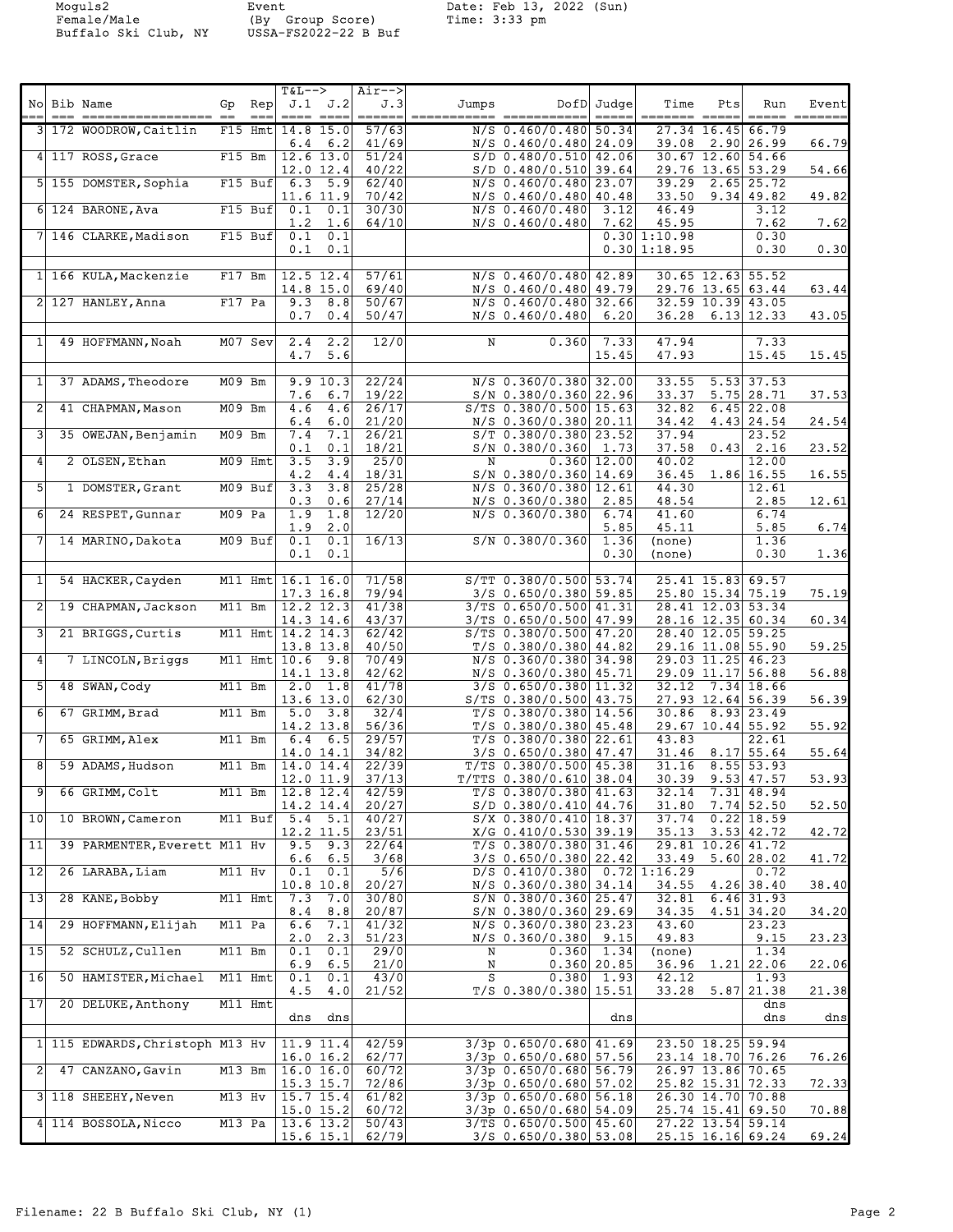Buffalo Ski Club, NY USSA-FS2022-22 B Buf

Moguls2 Event Date: Feb 13, 2022 (Sun) Female/Male (By Group Score) Time: 3:33 pm

| 3 172 WOODROW, Caitlin<br>F15 Hmt $14.8$ 15.0<br>57/63<br>$N/S$ 0.460/0.480 50.34<br>27.34 16.45 66.79<br>$6.4 \t6.2$<br>41/69<br>N/S 0.460/0.480 24.09<br>$39.08$ 2.90 26.99<br>66.79<br>4 117 ROSS, Grace<br>$12.6$ 13.0<br>51/24<br>$S/D$ 0.480/0.510 42.06<br>$30.67$ 12.60 54.66<br>F15 Bm<br>40/22<br>29.76 13.65 53.29<br>$12.0$ 12.4<br>$S/D$ 0.480/0.510 39.64<br>54.66<br>$\overline{5.9}$<br>62/40<br>$N/S$ 0.460/0.480 23.07<br>$39.29$ 2.65 25.72<br>5 155 DOMSTER, Sophia<br>$F15$ Buf<br>6.3<br>70/42<br>$11.6$ $11.9$<br>N/S 0.460/0.480 40.48<br>33.50<br>$9.34$ 49.82<br>49.82<br>$6 124$ BARONE, Ava<br>$F15$ Buf<br>0.1<br>0.1<br>30/30<br>$N/S$ 0.460/0.480<br>46.49<br>3.12<br>3.12<br>7.62<br>1.2<br>1.6<br>64/10<br>$N/S$ 0.460/0.480<br>7.62<br>45.95<br>7.62<br>7 146 CLARKE, Madison<br>$0.1 \quad 0.1$<br>0.30<br>$F15$ Buf<br>0.30 1:10.98<br>0.30 1:18.95<br>0.30<br>0.1<br>0.1<br>0.30<br>57/61<br>$N/S$ 0.460/0.480 42.89<br>1 166 KULA, Mackenzie<br>$12.5$ 12.4<br>$30.65$ 12.63 55.52<br>$F17$ Bm<br>69/40<br>$14.8$ 15.0<br>N/S 0.460/0.480 49.79<br>29.76 13.65 63.44<br>63.44<br>$2$   127 HANLEY, Anna<br>F17 Pa<br>$9.3$ 8.8<br>50/67<br>N/S 0.460/0.480 32.66<br>32.59 10.39 43.05<br>0.7<br>0.4<br>50/47<br>$N/S$ 0.460/0.480 6.20<br>$36.28$ 6.13 12.33<br>43.05<br>$2.4$ 2.2<br>12/0<br>0.360<br>7.33<br>7.33<br>$\mathbf{1}$<br>49 HOFFMANN, Noah<br>$M07$ Sev<br>N<br>47.94<br>$4.7$ 5.6<br>15.45<br>47.93<br>15.45<br>15.45<br>22/24<br>$5.53$ 37.53<br>$\mathbf{1}$<br>37 ADAMS, Theodore<br>9.9 10.3<br>$N/S$ 0.360/0.380 32.00<br>33.55<br>M09 Bm<br>$7.6$ 6.7<br>19/22<br>$S/N$ 0.380/0.360 22.96<br>33.37<br>$5.75$ 28.71<br>37.53<br>$\overline{2}$<br>4.6<br>26/17<br>$S/TS$ 0.380/0.500 15.63<br>32.82<br>$6.45$ 22.08<br>41 CHAPMAN, Mason<br>M09 Bm<br>4.6<br>6.0<br>21/20<br>N/S 0.360/0.380 20.11<br>34.42<br>4.43 24.54<br>6.4<br>24.54<br>3<br>35 OWEJAN, Benjamin<br>M09 Bm<br>7.4<br>7.1<br>26/21<br>$S/T$ 0.380/0.380 23.52<br>37.94<br>23.52<br>0.1<br>0.1<br>18/21<br>37.58<br>0.43 2.16<br>23.52<br>$S/N$ 0.380/0.360 1.73<br>3.5<br>3.9<br>25/0<br>0.360 12.00 <br>40.02<br>12.00<br>4<br>2 OLSEN, Ethan<br>$M09$ Hmt<br>N<br>18/31<br>1.86 16.55<br>4.2<br>4.4<br>$S/N$ 0.380/0.360 14.69<br>36.45<br>16.55<br>5<br>$3.3$ $3.8$<br>25/28<br>1 DOMSTER, Grant<br>$M09$ Buf<br>N/S 0.360/0.380 12.61<br>44.30<br>12.61<br>0.3<br>27/14<br>2.85<br>48.54<br>2.85<br>12.61<br>0.6<br>$N/S$ 0.360/0.380<br>24 RESPET, Gunnar<br>M09 Pa<br>1.9<br>1.8<br>12/20<br>$N/S$ 0.360/0.380<br>41.60<br>6.74<br>6<br>6.74<br>6.74<br>1.9<br>2.0<br>5.85<br>5.85<br>45.11<br>0.1<br>16/13<br>7<br>$M09$ Buf<br>0.1<br>$S/N$ 0.380/0.360<br>1.36<br>(none)<br>1.36<br>14 MARINO, Dakota<br>0.1<br>0.1<br>0.30<br>0.30<br>1.36<br>(none)<br>$\mathbf{1}$<br>71/58<br>S/TT 0.380/0.500 53.74<br>25.41 15.83 69.57<br>54 HACKER, Cayden<br>M11 Hmt $16.1$ 16.0<br>79/94<br>$3/S$ 0.650/0.380 59.85<br>25.80 15.34 75.19<br>75.19<br>$17.3$ 16.8<br>2<br>$12.2$ $12.3$<br>41/38<br>3/TS 0.650/0.500 41.31<br>28.41 12.03 53.34<br>19 CHAPMAN, Jackson<br>M11 Bm<br>$14.3$ 14.6<br>43/37<br>3/TS 0.650/0.500 47.99<br>28.16 12.35 60.34<br>60.34<br>3<br>M11 Hmt $14.2$ 14.3<br>62/42<br>$S/TS$ 0.380/0.500 47.20<br>28.40 12.05 59.25<br>21 BRIGGS, Curtis<br>$13.8$ 13.8<br>40/50<br>$T/S$ 0.380/0.380 44.82<br>29.16 11.08 55.90<br>59.25<br>M11 Hmt $ 10.6$ 9.8<br>70/49<br>$N/S$ 0.360/0.380 34.98<br>29.03 11.25 46.23<br>4<br>7 LINCOLN, Briggs<br>$14.1$ 13.8<br>42/62<br>N/S 0.360/0.380 45.71<br>29.09 11.17 56.88<br>56.88<br>5<br>48 SWAN, Cody<br>M11 Bm<br>$2.0 \quad 1.8$<br>41/78<br>$3/S$ 0.650/0.380 11.32<br>$32.12$ 7.34 18.66<br>62/30<br>56.39<br>$13.6$ $13.0$<br>S/TS 0.380/0.500 43.75<br>27.93 12.64 56.39<br>6<br>$5.0$ $3.8$<br>32/4<br>67 GRIMM, Brad<br>M11 Bm<br>$T/S$ 0.380/0.380 14.56<br>$30.86$ $8.93$ 23.49<br>56/36<br>$14.2$ 13.8<br>$T/S$ 0.380/0.380 45.48<br>29.67 10.44 55.92<br>55.92<br>$6.4 \quad 6.5$<br>29/57<br>$T/S$ 0.380/0.380 22.61<br>43.83<br>22.61<br>65 GRIMM, Alex<br>M11 Bm<br>34/82<br>$14.0$ 14.1<br>$3/S$ 0.650/0.380 47.47<br>$31.46$ 8.17 55.64<br>55.64<br>8<br>$31.16$ $8.55$ 53.93<br>59 ADAMS, Hudson<br>M11 Bm<br>$14.0$ $14.4$<br>22/39<br>$T/TS$ 0.380/0.500 45.38<br>$12.0$ 11.9 37/13<br>$30.39$ $9.53$ 47.57<br>53.93<br>$T/TTS$ 0.380/0.610 38.04<br>9<br>66 GRIMM, Colt<br>M11 Bm   12.8 12.4<br>42/59<br>$T/S$ 0.380/0.380 41.63<br>$32.14$ 7.31 48.94<br>$14.2$ 14.4<br>20/27<br>$S/D$ 0.380/0.410 44.76<br>31.80<br>$7.74$ 52.50<br>52.50<br>$0.22$ 18.59<br>10<br>10 BROWN, Cameron<br>M11 Buf 5.4 5.1<br>40/27<br>$S/X$ 0.380/0.410 18.37<br>37.74<br>$35.13$ $3.53$ $42.72$<br>$12.2$ 11.5<br>23/51<br>X/G 0.410/0.530 39.19<br>42.72<br>11<br>39 PARMENTER, Everett M11 Hv<br>$9.5$ $9.3$<br>22/64<br>T/S 0.380/0.380 31.46<br>29.81 10.26 41.72<br>$6.6$ $6.5$<br>3/68<br>3/S 0.650/0.380 22.42<br>33.49<br>5.60 28.02<br>41.72<br>$\overline{12}$<br>$0.1 \quad 0.1$<br>5/6<br>26 LARABA, Liam<br>M11 Hv<br>$D/S$ 0.410/0.380 0.72 1:16.29<br>0.72<br>10.8 10.8<br>20/27<br>N/S 0.360/0.380 34.14<br>34.55<br>$4.26$ 38.40<br>38.40<br>13<br>28 KANE, Bobby<br>7.3<br>7.0<br>30/80<br>32.81<br>$6.46$ 31.93<br>$M11$ Hmt<br>$S/N$ 0.380/0.360 25.47<br>20/87<br>S/N 0.380/0.360 29.69<br>34.35<br>$4.51$ 34.20<br>34.20<br>8.4<br>8.8<br>$\overline{14}$<br>29 HOFFMANN, Elijah<br>M11 Pa<br>7.1<br>41/32<br>N/S 0.360/0.380 23.23<br>43.60<br>23.23<br>6.6<br>23.23<br>2.0<br>2.3<br>51/23<br>N/S 0.360/0.380 9.15<br>49.83<br>9.15<br>15<br>52 SCHULZ, Cullen<br>0.1<br>0.1<br>29/0<br>1.34<br>M11 Bm<br>$0.360$ 1.34<br>Ν<br>(none)<br>6.9<br>6.5<br>21/0<br>0.360 20.85<br>36.96<br>$1.21$ 22.06<br>22.06<br>N<br>43/0<br>s<br>0.380  1.93 <br>16<br>50 HAMISTER, Michael<br>M11 Hmt<br>0.1<br>0.1<br>42.12<br>1.93<br>21/52<br>$T/S$ 0.380/0.380 15.51<br>$33.28$ 5.87 21.38<br>21.38<br>4.5<br>4.0<br>17<br>20 DELUKE, Anthony<br>M11 Hmt<br>dns<br>dns dns<br>dns<br>dns<br>dns<br>1 115 EDWARDS, Christoph M13 Hv<br>42/59<br>$3/3p$ 0.650/0.680 41.69<br>$11.9$ $11.4$<br>23.50 18.25 59.94<br>62/77<br>3/3p 0.650/0.680 57.56<br>23.14 18.70 76.26<br>76.26<br>16.0 16.2<br>$\overline{c}$<br> 16.0 16.0 <br>$3/3p$ 0.650/0.680 56.79<br>47 CANZANO, Gavin<br>M13 Bm<br>60/72<br>26.97 13.86 70.65<br>72/86<br>3/3p 0.650/0.680 57.02<br>$15.3$ 15.7<br>25.82 15.31 72.33<br>72.33<br>3 118 SHEEHY, Neven<br>$15.7$ $15.4$<br>61/82<br>3/3p 0.650/0.680 56.18<br>M13 Hv<br>26.30 14.70 70.88<br>60/72<br>$15.0$ 15.2<br>3/3p 0.650/0.680 54.09<br>25.74 15.41 69.50<br>70.88<br>M13 Pa $ 13.6 13.2 $<br>50/43<br>3/TS 0.650/0.500 45.60<br>27.22 13.54 59.14<br>4 114 BOSSOLA, Nicco<br>$15.6$ 15.1<br>$3/S$ 0.650/0.380 53.08<br>25.15 16.16 69.24 | === | No Bib Name | $\mathsf{Rep}\hspace{.01in} \hspace{.01in}$<br>Gp<br>$=$ $=$ $=$ $\pm$ | $T&L-->$ | $\texttt{J.1} \quad \texttt{J.2}$<br>$=$ === $=$ === | $Air--$<br>J.3 | Jumps | DofD Judge<br>$=$ $=$ $=$ $=$ | Time<br>======= ===== | Pts | Run<br>$\qquad \qquad \doteq \qquad \qquad \doteq \qquad \qquad$ | Event<br>======= |  |
|---------------------------------------------------------------------------------------------------------------------------------------------------------------------------------------------------------------------------------------------------------------------------------------------------------------------------------------------------------------------------------------------------------------------------------------------------------------------------------------------------------------------------------------------------------------------------------------------------------------------------------------------------------------------------------------------------------------------------------------------------------------------------------------------------------------------------------------------------------------------------------------------------------------------------------------------------------------------------------------------------------------------------------------------------------------------------------------------------------------------------------------------------------------------------------------------------------------------------------------------------------------------------------------------------------------------------------------------------------------------------------------------------------------------------------------------------------------------------------------------------------------------------------------------------------------------------------------------------------------------------------------------------------------------------------------------------------------------------------------------------------------------------------------------------------------------------------------------------------------------------------------------------------------------------------------------------------------------------------------------------------------------------------------------------------------------------------------------------------------------------------------------------------------------------------------------------------------------------------------------------------------------------------------------------------------------------------------------------------------------------------------------------------------------------------------------------------------------------------------------------------------------------------------------------------------------------------------------------------------------------------------------------------------------------------------------------------------------------------------------------------------------------------------------------------------------------------------------------------------------------------------------------------------------------------------------------------------------------------------------------------------------------------------------------------------------------------------------------------------------------------------------------------------------------------------------------------------------------------------------------------------------------------------------------------------------------------------------------------------------------------------------------------------------------------------------------------------------------------------------------------------------------------------------------------------------------------------------------------------------------------------------------------------------------------------------------------------------------------------------------------------------------------------------------------------------------------------------------------------------------------------------------------------------------------------------------------------------------------------------------------------------------------------------------------------------------------------------------------------------------------------------------------------------------------------------------------------------------------------------------------------------------------------------------------------------------------------------------------------------------------------------------------------------------------------------------------------------------------------------------------------------------------------------------------------------------------------------------------------------------------------------------------------------------------------------------------------------------------------------------------------------------------------------------------------------------------------------------------------------------------------------------------------------------------------------------------------------------------------------------------------------------------------------------------------------------------------------------------------------------------------------------------------------------------------------------------------------------------------------------------------------------------------------------------------------------------------------------------------------------------------------------------------------------------------------------------------------------------------------------------------------------------------------------------------------------------------------------------------------------------------------------------------------------------------------------------------------------------------------------------------------------------------------------------------------------------------------------------------------------------------------------------------------------------------------------------------------------------------------------------------------------------------------------------------------------------------------------------------------------------------------------------------------------------------------------------------------------------------------------------------------------------------------------------------------------------------------------------------------------------------------------------------------------------------------------------------------------------------------------------------------------------------------------------------------------------------------------------------------------------------------------------------------------------------------------------------------------------------------------------------------------------------------------|-----|-------------|------------------------------------------------------------------------|----------|------------------------------------------------------|----------------|-------|-------------------------------|-----------------------|-----|------------------------------------------------------------------|------------------|--|
|                                                                                                                                                                                                                                                                                                                                                                                                                                                                                                                                                                                                                                                                                                                                                                                                                                                                                                                                                                                                                                                                                                                                                                                                                                                                                                                                                                                                                                                                                                                                                                                                                                                                                                                                                                                                                                                                                                                                                                                                                                                                                                                                                                                                                                                                                                                                                                                                                                                                                                                                                                                                                                                                                                                                                                                                                                                                                                                                                                                                                                                                                                                                                                                                                                                                                                                                                                                                                                                                                                                                                                                                                                                                                                                                                                                                                                                                                                                                                                                                                                                                                                                                                                                                                                                                                                                                                                                                                                                                                                                                                                                                                                                                                                                                                                                                                                                                                                                                                                                                                                                                                                                                                                                                                                                                                                                                                                                                                                                                                                                                                                                                                                                                                                                                                                                                                                                                                                                                                                                                                                                                                                                                                                                                                                                                                                                                                                                                                                                                                                                                                                                                                                                                                                                                                                                                   |     |             |                                                                        |          |                                                      |                |       |                               |                       |     |                                                                  |                  |  |
|                                                                                                                                                                                                                                                                                                                                                                                                                                                                                                                                                                                                                                                                                                                                                                                                                                                                                                                                                                                                                                                                                                                                                                                                                                                                                                                                                                                                                                                                                                                                                                                                                                                                                                                                                                                                                                                                                                                                                                                                                                                                                                                                                                                                                                                                                                                                                                                                                                                                                                                                                                                                                                                                                                                                                                                                                                                                                                                                                                                                                                                                                                                                                                                                                                                                                                                                                                                                                                                                                                                                                                                                                                                                                                                                                                                                                                                                                                                                                                                                                                                                                                                                                                                                                                                                                                                                                                                                                                                                                                                                                                                                                                                                                                                                                                                                                                                                                                                                                                                                                                                                                                                                                                                                                                                                                                                                                                                                                                                                                                                                                                                                                                                                                                                                                                                                                                                                                                                                                                                                                                                                                                                                                                                                                                                                                                                                                                                                                                                                                                                                                                                                                                                                                                                                                                                                   |     |             |                                                                        |          |                                                      |                |       |                               |                       |     |                                                                  |                  |  |
|                                                                                                                                                                                                                                                                                                                                                                                                                                                                                                                                                                                                                                                                                                                                                                                                                                                                                                                                                                                                                                                                                                                                                                                                                                                                                                                                                                                                                                                                                                                                                                                                                                                                                                                                                                                                                                                                                                                                                                                                                                                                                                                                                                                                                                                                                                                                                                                                                                                                                                                                                                                                                                                                                                                                                                                                                                                                                                                                                                                                                                                                                                                                                                                                                                                                                                                                                                                                                                                                                                                                                                                                                                                                                                                                                                                                                                                                                                                                                                                                                                                                                                                                                                                                                                                                                                                                                                                                                                                                                                                                                                                                                                                                                                                                                                                                                                                                                                                                                                                                                                                                                                                                                                                                                                                                                                                                                                                                                                                                                                                                                                                                                                                                                                                                                                                                                                                                                                                                                                                                                                                                                                                                                                                                                                                                                                                                                                                                                                                                                                                                                                                                                                                                                                                                                                                                   |     |             |                                                                        |          |                                                      |                |       |                               |                       |     |                                                                  |                  |  |
|                                                                                                                                                                                                                                                                                                                                                                                                                                                                                                                                                                                                                                                                                                                                                                                                                                                                                                                                                                                                                                                                                                                                                                                                                                                                                                                                                                                                                                                                                                                                                                                                                                                                                                                                                                                                                                                                                                                                                                                                                                                                                                                                                                                                                                                                                                                                                                                                                                                                                                                                                                                                                                                                                                                                                                                                                                                                                                                                                                                                                                                                                                                                                                                                                                                                                                                                                                                                                                                                                                                                                                                                                                                                                                                                                                                                                                                                                                                                                                                                                                                                                                                                                                                                                                                                                                                                                                                                                                                                                                                                                                                                                                                                                                                                                                                                                                                                                                                                                                                                                                                                                                                                                                                                                                                                                                                                                                                                                                                                                                                                                                                                                                                                                                                                                                                                                                                                                                                                                                                                                                                                                                                                                                                                                                                                                                                                                                                                                                                                                                                                                                                                                                                                                                                                                                                                   |     |             |                                                                        |          |                                                      |                |       |                               |                       |     |                                                                  |                  |  |
|                                                                                                                                                                                                                                                                                                                                                                                                                                                                                                                                                                                                                                                                                                                                                                                                                                                                                                                                                                                                                                                                                                                                                                                                                                                                                                                                                                                                                                                                                                                                                                                                                                                                                                                                                                                                                                                                                                                                                                                                                                                                                                                                                                                                                                                                                                                                                                                                                                                                                                                                                                                                                                                                                                                                                                                                                                                                                                                                                                                                                                                                                                                                                                                                                                                                                                                                                                                                                                                                                                                                                                                                                                                                                                                                                                                                                                                                                                                                                                                                                                                                                                                                                                                                                                                                                                                                                                                                                                                                                                                                                                                                                                                                                                                                                                                                                                                                                                                                                                                                                                                                                                                                                                                                                                                                                                                                                                                                                                                                                                                                                                                                                                                                                                                                                                                                                                                                                                                                                                                                                                                                                                                                                                                                                                                                                                                                                                                                                                                                                                                                                                                                                                                                                                                                                                                                   |     |             |                                                                        |          |                                                      |                |       |                               |                       |     |                                                                  |                  |  |
|                                                                                                                                                                                                                                                                                                                                                                                                                                                                                                                                                                                                                                                                                                                                                                                                                                                                                                                                                                                                                                                                                                                                                                                                                                                                                                                                                                                                                                                                                                                                                                                                                                                                                                                                                                                                                                                                                                                                                                                                                                                                                                                                                                                                                                                                                                                                                                                                                                                                                                                                                                                                                                                                                                                                                                                                                                                                                                                                                                                                                                                                                                                                                                                                                                                                                                                                                                                                                                                                                                                                                                                                                                                                                                                                                                                                                                                                                                                                                                                                                                                                                                                                                                                                                                                                                                                                                                                                                                                                                                                                                                                                                                                                                                                                                                                                                                                                                                                                                                                                                                                                                                                                                                                                                                                                                                                                                                                                                                                                                                                                                                                                                                                                                                                                                                                                                                                                                                                                                                                                                                                                                                                                                                                                                                                                                                                                                                                                                                                                                                                                                                                                                                                                                                                                                                                                   |     |             |                                                                        |          |                                                      |                |       |                               |                       |     |                                                                  |                  |  |
|                                                                                                                                                                                                                                                                                                                                                                                                                                                                                                                                                                                                                                                                                                                                                                                                                                                                                                                                                                                                                                                                                                                                                                                                                                                                                                                                                                                                                                                                                                                                                                                                                                                                                                                                                                                                                                                                                                                                                                                                                                                                                                                                                                                                                                                                                                                                                                                                                                                                                                                                                                                                                                                                                                                                                                                                                                                                                                                                                                                                                                                                                                                                                                                                                                                                                                                                                                                                                                                                                                                                                                                                                                                                                                                                                                                                                                                                                                                                                                                                                                                                                                                                                                                                                                                                                                                                                                                                                                                                                                                                                                                                                                                                                                                                                                                                                                                                                                                                                                                                                                                                                                                                                                                                                                                                                                                                                                                                                                                                                                                                                                                                                                                                                                                                                                                                                                                                                                                                                                                                                                                                                                                                                                                                                                                                                                                                                                                                                                                                                                                                                                                                                                                                                                                                                                                                   |     |             |                                                                        |          |                                                      |                |       |                               |                       |     |                                                                  |                  |  |
|                                                                                                                                                                                                                                                                                                                                                                                                                                                                                                                                                                                                                                                                                                                                                                                                                                                                                                                                                                                                                                                                                                                                                                                                                                                                                                                                                                                                                                                                                                                                                                                                                                                                                                                                                                                                                                                                                                                                                                                                                                                                                                                                                                                                                                                                                                                                                                                                                                                                                                                                                                                                                                                                                                                                                                                                                                                                                                                                                                                                                                                                                                                                                                                                                                                                                                                                                                                                                                                                                                                                                                                                                                                                                                                                                                                                                                                                                                                                                                                                                                                                                                                                                                                                                                                                                                                                                                                                                                                                                                                                                                                                                                                                                                                                                                                                                                                                                                                                                                                                                                                                                                                                                                                                                                                                                                                                                                                                                                                                                                                                                                                                                                                                                                                                                                                                                                                                                                                                                                                                                                                                                                                                                                                                                                                                                                                                                                                                                                                                                                                                                                                                                                                                                                                                                                                                   |     |             |                                                                        |          |                                                      |                |       |                               |                       |     |                                                                  |                  |  |
|                                                                                                                                                                                                                                                                                                                                                                                                                                                                                                                                                                                                                                                                                                                                                                                                                                                                                                                                                                                                                                                                                                                                                                                                                                                                                                                                                                                                                                                                                                                                                                                                                                                                                                                                                                                                                                                                                                                                                                                                                                                                                                                                                                                                                                                                                                                                                                                                                                                                                                                                                                                                                                                                                                                                                                                                                                                                                                                                                                                                                                                                                                                                                                                                                                                                                                                                                                                                                                                                                                                                                                                                                                                                                                                                                                                                                                                                                                                                                                                                                                                                                                                                                                                                                                                                                                                                                                                                                                                                                                                                                                                                                                                                                                                                                                                                                                                                                                                                                                                                                                                                                                                                                                                                                                                                                                                                                                                                                                                                                                                                                                                                                                                                                                                                                                                                                                                                                                                                                                                                                                                                                                                                                                                                                                                                                                                                                                                                                                                                                                                                                                                                                                                                                                                                                                                                   |     |             |                                                                        |          |                                                      |                |       |                               |                       |     |                                                                  |                  |  |
|                                                                                                                                                                                                                                                                                                                                                                                                                                                                                                                                                                                                                                                                                                                                                                                                                                                                                                                                                                                                                                                                                                                                                                                                                                                                                                                                                                                                                                                                                                                                                                                                                                                                                                                                                                                                                                                                                                                                                                                                                                                                                                                                                                                                                                                                                                                                                                                                                                                                                                                                                                                                                                                                                                                                                                                                                                                                                                                                                                                                                                                                                                                                                                                                                                                                                                                                                                                                                                                                                                                                                                                                                                                                                                                                                                                                                                                                                                                                                                                                                                                                                                                                                                                                                                                                                                                                                                                                                                                                                                                                                                                                                                                                                                                                                                                                                                                                                                                                                                                                                                                                                                                                                                                                                                                                                                                                                                                                                                                                                                                                                                                                                                                                                                                                                                                                                                                                                                                                                                                                                                                                                                                                                                                                                                                                                                                                                                                                                                                                                                                                                                                                                                                                                                                                                                                                   |     |             |                                                                        |          |                                                      |                |       |                               |                       |     |                                                                  |                  |  |
|                                                                                                                                                                                                                                                                                                                                                                                                                                                                                                                                                                                                                                                                                                                                                                                                                                                                                                                                                                                                                                                                                                                                                                                                                                                                                                                                                                                                                                                                                                                                                                                                                                                                                                                                                                                                                                                                                                                                                                                                                                                                                                                                                                                                                                                                                                                                                                                                                                                                                                                                                                                                                                                                                                                                                                                                                                                                                                                                                                                                                                                                                                                                                                                                                                                                                                                                                                                                                                                                                                                                                                                                                                                                                                                                                                                                                                                                                                                                                                                                                                                                                                                                                                                                                                                                                                                                                                                                                                                                                                                                                                                                                                                                                                                                                                                                                                                                                                                                                                                                                                                                                                                                                                                                                                                                                                                                                                                                                                                                                                                                                                                                                                                                                                                                                                                                                                                                                                                                                                                                                                                                                                                                                                                                                                                                                                                                                                                                                                                                                                                                                                                                                                                                                                                                                                                                   |     |             |                                                                        |          |                                                      |                |       |                               |                       |     |                                                                  |                  |  |
|                                                                                                                                                                                                                                                                                                                                                                                                                                                                                                                                                                                                                                                                                                                                                                                                                                                                                                                                                                                                                                                                                                                                                                                                                                                                                                                                                                                                                                                                                                                                                                                                                                                                                                                                                                                                                                                                                                                                                                                                                                                                                                                                                                                                                                                                                                                                                                                                                                                                                                                                                                                                                                                                                                                                                                                                                                                                                                                                                                                                                                                                                                                                                                                                                                                                                                                                                                                                                                                                                                                                                                                                                                                                                                                                                                                                                                                                                                                                                                                                                                                                                                                                                                                                                                                                                                                                                                                                                                                                                                                                                                                                                                                                                                                                                                                                                                                                                                                                                                                                                                                                                                                                                                                                                                                                                                                                                                                                                                                                                                                                                                                                                                                                                                                                                                                                                                                                                                                                                                                                                                                                                                                                                                                                                                                                                                                                                                                                                                                                                                                                                                                                                                                                                                                                                                                                   |     |             |                                                                        |          |                                                      |                |       |                               |                       |     |                                                                  |                  |  |
|                                                                                                                                                                                                                                                                                                                                                                                                                                                                                                                                                                                                                                                                                                                                                                                                                                                                                                                                                                                                                                                                                                                                                                                                                                                                                                                                                                                                                                                                                                                                                                                                                                                                                                                                                                                                                                                                                                                                                                                                                                                                                                                                                                                                                                                                                                                                                                                                                                                                                                                                                                                                                                                                                                                                                                                                                                                                                                                                                                                                                                                                                                                                                                                                                                                                                                                                                                                                                                                                                                                                                                                                                                                                                                                                                                                                                                                                                                                                                                                                                                                                                                                                                                                                                                                                                                                                                                                                                                                                                                                                                                                                                                                                                                                                                                                                                                                                                                                                                                                                                                                                                                                                                                                                                                                                                                                                                                                                                                                                                                                                                                                                                                                                                                                                                                                                                                                                                                                                                                                                                                                                                                                                                                                                                                                                                                                                                                                                                                                                                                                                                                                                                                                                                                                                                                                                   |     |             |                                                                        |          |                                                      |                |       |                               |                       |     |                                                                  |                  |  |
|                                                                                                                                                                                                                                                                                                                                                                                                                                                                                                                                                                                                                                                                                                                                                                                                                                                                                                                                                                                                                                                                                                                                                                                                                                                                                                                                                                                                                                                                                                                                                                                                                                                                                                                                                                                                                                                                                                                                                                                                                                                                                                                                                                                                                                                                                                                                                                                                                                                                                                                                                                                                                                                                                                                                                                                                                                                                                                                                                                                                                                                                                                                                                                                                                                                                                                                                                                                                                                                                                                                                                                                                                                                                                                                                                                                                                                                                                                                                                                                                                                                                                                                                                                                                                                                                                                                                                                                                                                                                                                                                                                                                                                                                                                                                                                                                                                                                                                                                                                                                                                                                                                                                                                                                                                                                                                                                                                                                                                                                                                                                                                                                                                                                                                                                                                                                                                                                                                                                                                                                                                                                                                                                                                                                                                                                                                                                                                                                                                                                                                                                                                                                                                                                                                                                                                                                   |     |             |                                                                        |          |                                                      |                |       |                               |                       |     |                                                                  |                  |  |
|                                                                                                                                                                                                                                                                                                                                                                                                                                                                                                                                                                                                                                                                                                                                                                                                                                                                                                                                                                                                                                                                                                                                                                                                                                                                                                                                                                                                                                                                                                                                                                                                                                                                                                                                                                                                                                                                                                                                                                                                                                                                                                                                                                                                                                                                                                                                                                                                                                                                                                                                                                                                                                                                                                                                                                                                                                                                                                                                                                                                                                                                                                                                                                                                                                                                                                                                                                                                                                                                                                                                                                                                                                                                                                                                                                                                                                                                                                                                                                                                                                                                                                                                                                                                                                                                                                                                                                                                                                                                                                                                                                                                                                                                                                                                                                                                                                                                                                                                                                                                                                                                                                                                                                                                                                                                                                                                                                                                                                                                                                                                                                                                                                                                                                                                                                                                                                                                                                                                                                                                                                                                                                                                                                                                                                                                                                                                                                                                                                                                                                                                                                                                                                                                                                                                                                                                   |     |             |                                                                        |          |                                                      |                |       |                               |                       |     |                                                                  |                  |  |
|                                                                                                                                                                                                                                                                                                                                                                                                                                                                                                                                                                                                                                                                                                                                                                                                                                                                                                                                                                                                                                                                                                                                                                                                                                                                                                                                                                                                                                                                                                                                                                                                                                                                                                                                                                                                                                                                                                                                                                                                                                                                                                                                                                                                                                                                                                                                                                                                                                                                                                                                                                                                                                                                                                                                                                                                                                                                                                                                                                                                                                                                                                                                                                                                                                                                                                                                                                                                                                                                                                                                                                                                                                                                                                                                                                                                                                                                                                                                                                                                                                                                                                                                                                                                                                                                                                                                                                                                                                                                                                                                                                                                                                                                                                                                                                                                                                                                                                                                                                                                                                                                                                                                                                                                                                                                                                                                                                                                                                                                                                                                                                                                                                                                                                                                                                                                                                                                                                                                                                                                                                                                                                                                                                                                                                                                                                                                                                                                                                                                                                                                                                                                                                                                                                                                                                                                   |     |             |                                                                        |          |                                                      |                |       |                               |                       |     |                                                                  |                  |  |
|                                                                                                                                                                                                                                                                                                                                                                                                                                                                                                                                                                                                                                                                                                                                                                                                                                                                                                                                                                                                                                                                                                                                                                                                                                                                                                                                                                                                                                                                                                                                                                                                                                                                                                                                                                                                                                                                                                                                                                                                                                                                                                                                                                                                                                                                                                                                                                                                                                                                                                                                                                                                                                                                                                                                                                                                                                                                                                                                                                                                                                                                                                                                                                                                                                                                                                                                                                                                                                                                                                                                                                                                                                                                                                                                                                                                                                                                                                                                                                                                                                                                                                                                                                                                                                                                                                                                                                                                                                                                                                                                                                                                                                                                                                                                                                                                                                                                                                                                                                                                                                                                                                                                                                                                                                                                                                                                                                                                                                                                                                                                                                                                                                                                                                                                                                                                                                                                                                                                                                                                                                                                                                                                                                                                                                                                                                                                                                                                                                                                                                                                                                                                                                                                                                                                                                                                   |     |             |                                                                        |          |                                                      |                |       |                               |                       |     |                                                                  |                  |  |
|                                                                                                                                                                                                                                                                                                                                                                                                                                                                                                                                                                                                                                                                                                                                                                                                                                                                                                                                                                                                                                                                                                                                                                                                                                                                                                                                                                                                                                                                                                                                                                                                                                                                                                                                                                                                                                                                                                                                                                                                                                                                                                                                                                                                                                                                                                                                                                                                                                                                                                                                                                                                                                                                                                                                                                                                                                                                                                                                                                                                                                                                                                                                                                                                                                                                                                                                                                                                                                                                                                                                                                                                                                                                                                                                                                                                                                                                                                                                                                                                                                                                                                                                                                                                                                                                                                                                                                                                                                                                                                                                                                                                                                                                                                                                                                                                                                                                                                                                                                                                                                                                                                                                                                                                                                                                                                                                                                                                                                                                                                                                                                                                                                                                                                                                                                                                                                                                                                                                                                                                                                                                                                                                                                                                                                                                                                                                                                                                                                                                                                                                                                                                                                                                                                                                                                                                   |     |             |                                                                        |          |                                                      |                |       |                               |                       |     |                                                                  |                  |  |
|                                                                                                                                                                                                                                                                                                                                                                                                                                                                                                                                                                                                                                                                                                                                                                                                                                                                                                                                                                                                                                                                                                                                                                                                                                                                                                                                                                                                                                                                                                                                                                                                                                                                                                                                                                                                                                                                                                                                                                                                                                                                                                                                                                                                                                                                                                                                                                                                                                                                                                                                                                                                                                                                                                                                                                                                                                                                                                                                                                                                                                                                                                                                                                                                                                                                                                                                                                                                                                                                                                                                                                                                                                                                                                                                                                                                                                                                                                                                                                                                                                                                                                                                                                                                                                                                                                                                                                                                                                                                                                                                                                                                                                                                                                                                                                                                                                                                                                                                                                                                                                                                                                                                                                                                                                                                                                                                                                                                                                                                                                                                                                                                                                                                                                                                                                                                                                                                                                                                                                                                                                                                                                                                                                                                                                                                                                                                                                                                                                                                                                                                                                                                                                                                                                                                                                                                   |     |             |                                                                        |          |                                                      |                |       |                               |                       |     |                                                                  |                  |  |
|                                                                                                                                                                                                                                                                                                                                                                                                                                                                                                                                                                                                                                                                                                                                                                                                                                                                                                                                                                                                                                                                                                                                                                                                                                                                                                                                                                                                                                                                                                                                                                                                                                                                                                                                                                                                                                                                                                                                                                                                                                                                                                                                                                                                                                                                                                                                                                                                                                                                                                                                                                                                                                                                                                                                                                                                                                                                                                                                                                                                                                                                                                                                                                                                                                                                                                                                                                                                                                                                                                                                                                                                                                                                                                                                                                                                                                                                                                                                                                                                                                                                                                                                                                                                                                                                                                                                                                                                                                                                                                                                                                                                                                                                                                                                                                                                                                                                                                                                                                                                                                                                                                                                                                                                                                                                                                                                                                                                                                                                                                                                                                                                                                                                                                                                                                                                                                                                                                                                                                                                                                                                                                                                                                                                                                                                                                                                                                                                                                                                                                                                                                                                                                                                                                                                                                                                   |     |             |                                                                        |          |                                                      |                |       |                               |                       |     |                                                                  |                  |  |
|                                                                                                                                                                                                                                                                                                                                                                                                                                                                                                                                                                                                                                                                                                                                                                                                                                                                                                                                                                                                                                                                                                                                                                                                                                                                                                                                                                                                                                                                                                                                                                                                                                                                                                                                                                                                                                                                                                                                                                                                                                                                                                                                                                                                                                                                                                                                                                                                                                                                                                                                                                                                                                                                                                                                                                                                                                                                                                                                                                                                                                                                                                                                                                                                                                                                                                                                                                                                                                                                                                                                                                                                                                                                                                                                                                                                                                                                                                                                                                                                                                                                                                                                                                                                                                                                                                                                                                                                                                                                                                                                                                                                                                                                                                                                                                                                                                                                                                                                                                                                                                                                                                                                                                                                                                                                                                                                                                                                                                                                                                                                                                                                                                                                                                                                                                                                                                                                                                                                                                                                                                                                                                                                                                                                                                                                                                                                                                                                                                                                                                                                                                                                                                                                                                                                                                                                   |     |             |                                                                        |          |                                                      |                |       |                               |                       |     |                                                                  |                  |  |
|                                                                                                                                                                                                                                                                                                                                                                                                                                                                                                                                                                                                                                                                                                                                                                                                                                                                                                                                                                                                                                                                                                                                                                                                                                                                                                                                                                                                                                                                                                                                                                                                                                                                                                                                                                                                                                                                                                                                                                                                                                                                                                                                                                                                                                                                                                                                                                                                                                                                                                                                                                                                                                                                                                                                                                                                                                                                                                                                                                                                                                                                                                                                                                                                                                                                                                                                                                                                                                                                                                                                                                                                                                                                                                                                                                                                                                                                                                                                                                                                                                                                                                                                                                                                                                                                                                                                                                                                                                                                                                                                                                                                                                                                                                                                                                                                                                                                                                                                                                                                                                                                                                                                                                                                                                                                                                                                                                                                                                                                                                                                                                                                                                                                                                                                                                                                                                                                                                                                                                                                                                                                                                                                                                                                                                                                                                                                                                                                                                                                                                                                                                                                                                                                                                                                                                                                   |     |             |                                                                        |          |                                                      |                |       |                               |                       |     |                                                                  |                  |  |
|                                                                                                                                                                                                                                                                                                                                                                                                                                                                                                                                                                                                                                                                                                                                                                                                                                                                                                                                                                                                                                                                                                                                                                                                                                                                                                                                                                                                                                                                                                                                                                                                                                                                                                                                                                                                                                                                                                                                                                                                                                                                                                                                                                                                                                                                                                                                                                                                                                                                                                                                                                                                                                                                                                                                                                                                                                                                                                                                                                                                                                                                                                                                                                                                                                                                                                                                                                                                                                                                                                                                                                                                                                                                                                                                                                                                                                                                                                                                                                                                                                                                                                                                                                                                                                                                                                                                                                                                                                                                                                                                                                                                                                                                                                                                                                                                                                                                                                                                                                                                                                                                                                                                                                                                                                                                                                                                                                                                                                                                                                                                                                                                                                                                                                                                                                                                                                                                                                                                                                                                                                                                                                                                                                                                                                                                                                                                                                                                                                                                                                                                                                                                                                                                                                                                                                                                   |     |             |                                                                        |          |                                                      |                |       |                               |                       |     |                                                                  |                  |  |
|                                                                                                                                                                                                                                                                                                                                                                                                                                                                                                                                                                                                                                                                                                                                                                                                                                                                                                                                                                                                                                                                                                                                                                                                                                                                                                                                                                                                                                                                                                                                                                                                                                                                                                                                                                                                                                                                                                                                                                                                                                                                                                                                                                                                                                                                                                                                                                                                                                                                                                                                                                                                                                                                                                                                                                                                                                                                                                                                                                                                                                                                                                                                                                                                                                                                                                                                                                                                                                                                                                                                                                                                                                                                                                                                                                                                                                                                                                                                                                                                                                                                                                                                                                                                                                                                                                                                                                                                                                                                                                                                                                                                                                                                                                                                                                                                                                                                                                                                                                                                                                                                                                                                                                                                                                                                                                                                                                                                                                                                                                                                                                                                                                                                                                                                                                                                                                                                                                                                                                                                                                                                                                                                                                                                                                                                                                                                                                                                                                                                                                                                                                                                                                                                                                                                                                                                   |     |             |                                                                        |          |                                                      |                |       |                               |                       |     |                                                                  |                  |  |
|                                                                                                                                                                                                                                                                                                                                                                                                                                                                                                                                                                                                                                                                                                                                                                                                                                                                                                                                                                                                                                                                                                                                                                                                                                                                                                                                                                                                                                                                                                                                                                                                                                                                                                                                                                                                                                                                                                                                                                                                                                                                                                                                                                                                                                                                                                                                                                                                                                                                                                                                                                                                                                                                                                                                                                                                                                                                                                                                                                                                                                                                                                                                                                                                                                                                                                                                                                                                                                                                                                                                                                                                                                                                                                                                                                                                                                                                                                                                                                                                                                                                                                                                                                                                                                                                                                                                                                                                                                                                                                                                                                                                                                                                                                                                                                                                                                                                                                                                                                                                                                                                                                                                                                                                                                                                                                                                                                                                                                                                                                                                                                                                                                                                                                                                                                                                                                                                                                                                                                                                                                                                                                                                                                                                                                                                                                                                                                                                                                                                                                                                                                                                                                                                                                                                                                                                   |     |             |                                                                        |          |                                                      |                |       |                               |                       |     |                                                                  |                  |  |
|                                                                                                                                                                                                                                                                                                                                                                                                                                                                                                                                                                                                                                                                                                                                                                                                                                                                                                                                                                                                                                                                                                                                                                                                                                                                                                                                                                                                                                                                                                                                                                                                                                                                                                                                                                                                                                                                                                                                                                                                                                                                                                                                                                                                                                                                                                                                                                                                                                                                                                                                                                                                                                                                                                                                                                                                                                                                                                                                                                                                                                                                                                                                                                                                                                                                                                                                                                                                                                                                                                                                                                                                                                                                                                                                                                                                                                                                                                                                                                                                                                                                                                                                                                                                                                                                                                                                                                                                                                                                                                                                                                                                                                                                                                                                                                                                                                                                                                                                                                                                                                                                                                                                                                                                                                                                                                                                                                                                                                                                                                                                                                                                                                                                                                                                                                                                                                                                                                                                                                                                                                                                                                                                                                                                                                                                                                                                                                                                                                                                                                                                                                                                                                                                                                                                                                                                   |     |             |                                                                        |          |                                                      |                |       |                               |                       |     |                                                                  |                  |  |
|                                                                                                                                                                                                                                                                                                                                                                                                                                                                                                                                                                                                                                                                                                                                                                                                                                                                                                                                                                                                                                                                                                                                                                                                                                                                                                                                                                                                                                                                                                                                                                                                                                                                                                                                                                                                                                                                                                                                                                                                                                                                                                                                                                                                                                                                                                                                                                                                                                                                                                                                                                                                                                                                                                                                                                                                                                                                                                                                                                                                                                                                                                                                                                                                                                                                                                                                                                                                                                                                                                                                                                                                                                                                                                                                                                                                                                                                                                                                                                                                                                                                                                                                                                                                                                                                                                                                                                                                                                                                                                                                                                                                                                                                                                                                                                                                                                                                                                                                                                                                                                                                                                                                                                                                                                                                                                                                                                                                                                                                                                                                                                                                                                                                                                                                                                                                                                                                                                                                                                                                                                                                                                                                                                                                                                                                                                                                                                                                                                                                                                                                                                                                                                                                                                                                                                                                   |     |             |                                                                        |          |                                                      |                |       |                               |                       |     |                                                                  |                  |  |
|                                                                                                                                                                                                                                                                                                                                                                                                                                                                                                                                                                                                                                                                                                                                                                                                                                                                                                                                                                                                                                                                                                                                                                                                                                                                                                                                                                                                                                                                                                                                                                                                                                                                                                                                                                                                                                                                                                                                                                                                                                                                                                                                                                                                                                                                                                                                                                                                                                                                                                                                                                                                                                                                                                                                                                                                                                                                                                                                                                                                                                                                                                                                                                                                                                                                                                                                                                                                                                                                                                                                                                                                                                                                                                                                                                                                                                                                                                                                                                                                                                                                                                                                                                                                                                                                                                                                                                                                                                                                                                                                                                                                                                                                                                                                                                                                                                                                                                                                                                                                                                                                                                                                                                                                                                                                                                                                                                                                                                                                                                                                                                                                                                                                                                                                                                                                                                                                                                                                                                                                                                                                                                                                                                                                                                                                                                                                                                                                                                                                                                                                                                                                                                                                                                                                                                                                   |     |             |                                                                        |          |                                                      |                |       |                               |                       |     |                                                                  |                  |  |
|                                                                                                                                                                                                                                                                                                                                                                                                                                                                                                                                                                                                                                                                                                                                                                                                                                                                                                                                                                                                                                                                                                                                                                                                                                                                                                                                                                                                                                                                                                                                                                                                                                                                                                                                                                                                                                                                                                                                                                                                                                                                                                                                                                                                                                                                                                                                                                                                                                                                                                                                                                                                                                                                                                                                                                                                                                                                                                                                                                                                                                                                                                                                                                                                                                                                                                                                                                                                                                                                                                                                                                                                                                                                                                                                                                                                                                                                                                                                                                                                                                                                                                                                                                                                                                                                                                                                                                                                                                                                                                                                                                                                                                                                                                                                                                                                                                                                                                                                                                                                                                                                                                                                                                                                                                                                                                                                                                                                                                                                                                                                                                                                                                                                                                                                                                                                                                                                                                                                                                                                                                                                                                                                                                                                                                                                                                                                                                                                                                                                                                                                                                                                                                                                                                                                                                                                   |     |             |                                                                        |          |                                                      |                |       |                               |                       |     |                                                                  |                  |  |
|                                                                                                                                                                                                                                                                                                                                                                                                                                                                                                                                                                                                                                                                                                                                                                                                                                                                                                                                                                                                                                                                                                                                                                                                                                                                                                                                                                                                                                                                                                                                                                                                                                                                                                                                                                                                                                                                                                                                                                                                                                                                                                                                                                                                                                                                                                                                                                                                                                                                                                                                                                                                                                                                                                                                                                                                                                                                                                                                                                                                                                                                                                                                                                                                                                                                                                                                                                                                                                                                                                                                                                                                                                                                                                                                                                                                                                                                                                                                                                                                                                                                                                                                                                                                                                                                                                                                                                                                                                                                                                                                                                                                                                                                                                                                                                                                                                                                                                                                                                                                                                                                                                                                                                                                                                                                                                                                                                                                                                                                                                                                                                                                                                                                                                                                                                                                                                                                                                                                                                                                                                                                                                                                                                                                                                                                                                                                                                                                                                                                                                                                                                                                                                                                                                                                                                                                   |     |             |                                                                        |          |                                                      |                |       |                               |                       |     |                                                                  |                  |  |
|                                                                                                                                                                                                                                                                                                                                                                                                                                                                                                                                                                                                                                                                                                                                                                                                                                                                                                                                                                                                                                                                                                                                                                                                                                                                                                                                                                                                                                                                                                                                                                                                                                                                                                                                                                                                                                                                                                                                                                                                                                                                                                                                                                                                                                                                                                                                                                                                                                                                                                                                                                                                                                                                                                                                                                                                                                                                                                                                                                                                                                                                                                                                                                                                                                                                                                                                                                                                                                                                                                                                                                                                                                                                                                                                                                                                                                                                                                                                                                                                                                                                                                                                                                                                                                                                                                                                                                                                                                                                                                                                                                                                                                                                                                                                                                                                                                                                                                                                                                                                                                                                                                                                                                                                                                                                                                                                                                                                                                                                                                                                                                                                                                                                                                                                                                                                                                                                                                                                                                                                                                                                                                                                                                                                                                                                                                                                                                                                                                                                                                                                                                                                                                                                                                                                                                                                   |     |             |                                                                        |          |                                                      |                |       |                               |                       |     |                                                                  |                  |  |
|                                                                                                                                                                                                                                                                                                                                                                                                                                                                                                                                                                                                                                                                                                                                                                                                                                                                                                                                                                                                                                                                                                                                                                                                                                                                                                                                                                                                                                                                                                                                                                                                                                                                                                                                                                                                                                                                                                                                                                                                                                                                                                                                                                                                                                                                                                                                                                                                                                                                                                                                                                                                                                                                                                                                                                                                                                                                                                                                                                                                                                                                                                                                                                                                                                                                                                                                                                                                                                                                                                                                                                                                                                                                                                                                                                                                                                                                                                                                                                                                                                                                                                                                                                                                                                                                                                                                                                                                                                                                                                                                                                                                                                                                                                                                                                                                                                                                                                                                                                                                                                                                                                                                                                                                                                                                                                                                                                                                                                                                                                                                                                                                                                                                                                                                                                                                                                                                                                                                                                                                                                                                                                                                                                                                                                                                                                                                                                                                                                                                                                                                                                                                                                                                                                                                                                                                   |     |             |                                                                        |          |                                                      |                |       |                               |                       |     |                                                                  |                  |  |
|                                                                                                                                                                                                                                                                                                                                                                                                                                                                                                                                                                                                                                                                                                                                                                                                                                                                                                                                                                                                                                                                                                                                                                                                                                                                                                                                                                                                                                                                                                                                                                                                                                                                                                                                                                                                                                                                                                                                                                                                                                                                                                                                                                                                                                                                                                                                                                                                                                                                                                                                                                                                                                                                                                                                                                                                                                                                                                                                                                                                                                                                                                                                                                                                                                                                                                                                                                                                                                                                                                                                                                                                                                                                                                                                                                                                                                                                                                                                                                                                                                                                                                                                                                                                                                                                                                                                                                                                                                                                                                                                                                                                                                                                                                                                                                                                                                                                                                                                                                                                                                                                                                                                                                                                                                                                                                                                                                                                                                                                                                                                                                                                                                                                                                                                                                                                                                                                                                                                                                                                                                                                                                                                                                                                                                                                                                                                                                                                                                                                                                                                                                                                                                                                                                                                                                                                   |     |             |                                                                        |          |                                                      |                |       |                               |                       |     |                                                                  |                  |  |
|                                                                                                                                                                                                                                                                                                                                                                                                                                                                                                                                                                                                                                                                                                                                                                                                                                                                                                                                                                                                                                                                                                                                                                                                                                                                                                                                                                                                                                                                                                                                                                                                                                                                                                                                                                                                                                                                                                                                                                                                                                                                                                                                                                                                                                                                                                                                                                                                                                                                                                                                                                                                                                                                                                                                                                                                                                                                                                                                                                                                                                                                                                                                                                                                                                                                                                                                                                                                                                                                                                                                                                                                                                                                                                                                                                                                                                                                                                                                                                                                                                                                                                                                                                                                                                                                                                                                                                                                                                                                                                                                                                                                                                                                                                                                                                                                                                                                                                                                                                                                                                                                                                                                                                                                                                                                                                                                                                                                                                                                                                                                                                                                                                                                                                                                                                                                                                                                                                                                                                                                                                                                                                                                                                                                                                                                                                                                                                                                                                                                                                                                                                                                                                                                                                                                                                                                   |     |             |                                                                        |          |                                                      |                |       |                               |                       |     |                                                                  |                  |  |
|                                                                                                                                                                                                                                                                                                                                                                                                                                                                                                                                                                                                                                                                                                                                                                                                                                                                                                                                                                                                                                                                                                                                                                                                                                                                                                                                                                                                                                                                                                                                                                                                                                                                                                                                                                                                                                                                                                                                                                                                                                                                                                                                                                                                                                                                                                                                                                                                                                                                                                                                                                                                                                                                                                                                                                                                                                                                                                                                                                                                                                                                                                                                                                                                                                                                                                                                                                                                                                                                                                                                                                                                                                                                                                                                                                                                                                                                                                                                                                                                                                                                                                                                                                                                                                                                                                                                                                                                                                                                                                                                                                                                                                                                                                                                                                                                                                                                                                                                                                                                                                                                                                                                                                                                                                                                                                                                                                                                                                                                                                                                                                                                                                                                                                                                                                                                                                                                                                                                                                                                                                                                                                                                                                                                                                                                                                                                                                                                                                                                                                                                                                                                                                                                                                                                                                                                   |     |             |                                                                        |          |                                                      |                |       |                               |                       |     |                                                                  |                  |  |
|                                                                                                                                                                                                                                                                                                                                                                                                                                                                                                                                                                                                                                                                                                                                                                                                                                                                                                                                                                                                                                                                                                                                                                                                                                                                                                                                                                                                                                                                                                                                                                                                                                                                                                                                                                                                                                                                                                                                                                                                                                                                                                                                                                                                                                                                                                                                                                                                                                                                                                                                                                                                                                                                                                                                                                                                                                                                                                                                                                                                                                                                                                                                                                                                                                                                                                                                                                                                                                                                                                                                                                                                                                                                                                                                                                                                                                                                                                                                                                                                                                                                                                                                                                                                                                                                                                                                                                                                                                                                                                                                                                                                                                                                                                                                                                                                                                                                                                                                                                                                                                                                                                                                                                                                                                                                                                                                                                                                                                                                                                                                                                                                                                                                                                                                                                                                                                                                                                                                                                                                                                                                                                                                                                                                                                                                                                                                                                                                                                                                                                                                                                                                                                                                                                                                                                                                   |     |             |                                                                        |          |                                                      |                |       |                               |                       |     |                                                                  |                  |  |
|                                                                                                                                                                                                                                                                                                                                                                                                                                                                                                                                                                                                                                                                                                                                                                                                                                                                                                                                                                                                                                                                                                                                                                                                                                                                                                                                                                                                                                                                                                                                                                                                                                                                                                                                                                                                                                                                                                                                                                                                                                                                                                                                                                                                                                                                                                                                                                                                                                                                                                                                                                                                                                                                                                                                                                                                                                                                                                                                                                                                                                                                                                                                                                                                                                                                                                                                                                                                                                                                                                                                                                                                                                                                                                                                                                                                                                                                                                                                                                                                                                                                                                                                                                                                                                                                                                                                                                                                                                                                                                                                                                                                                                                                                                                                                                                                                                                                                                                                                                                                                                                                                                                                                                                                                                                                                                                                                                                                                                                                                                                                                                                                                                                                                                                                                                                                                                                                                                                                                                                                                                                                                                                                                                                                                                                                                                                                                                                                                                                                                                                                                                                                                                                                                                                                                                                                   |     |             |                                                                        |          |                                                      |                |       |                               |                       |     |                                                                  |                  |  |
|                                                                                                                                                                                                                                                                                                                                                                                                                                                                                                                                                                                                                                                                                                                                                                                                                                                                                                                                                                                                                                                                                                                                                                                                                                                                                                                                                                                                                                                                                                                                                                                                                                                                                                                                                                                                                                                                                                                                                                                                                                                                                                                                                                                                                                                                                                                                                                                                                                                                                                                                                                                                                                                                                                                                                                                                                                                                                                                                                                                                                                                                                                                                                                                                                                                                                                                                                                                                                                                                                                                                                                                                                                                                                                                                                                                                                                                                                                                                                                                                                                                                                                                                                                                                                                                                                                                                                                                                                                                                                                                                                                                                                                                                                                                                                                                                                                                                                                                                                                                                                                                                                                                                                                                                                                                                                                                                                                                                                                                                                                                                                                                                                                                                                                                                                                                                                                                                                                                                                                                                                                                                                                                                                                                                                                                                                                                                                                                                                                                                                                                                                                                                                                                                                                                                                                                                   |     |             |                                                                        |          |                                                      |                |       |                               |                       |     |                                                                  |                  |  |
|                                                                                                                                                                                                                                                                                                                                                                                                                                                                                                                                                                                                                                                                                                                                                                                                                                                                                                                                                                                                                                                                                                                                                                                                                                                                                                                                                                                                                                                                                                                                                                                                                                                                                                                                                                                                                                                                                                                                                                                                                                                                                                                                                                                                                                                                                                                                                                                                                                                                                                                                                                                                                                                                                                                                                                                                                                                                                                                                                                                                                                                                                                                                                                                                                                                                                                                                                                                                                                                                                                                                                                                                                                                                                                                                                                                                                                                                                                                                                                                                                                                                                                                                                                                                                                                                                                                                                                                                                                                                                                                                                                                                                                                                                                                                                                                                                                                                                                                                                                                                                                                                                                                                                                                                                                                                                                                                                                                                                                                                                                                                                                                                                                                                                                                                                                                                                                                                                                                                                                                                                                                                                                                                                                                                                                                                                                                                                                                                                                                                                                                                                                                                                                                                                                                                                                                                   |     |             |                                                                        |          |                                                      |                |       |                               |                       |     |                                                                  |                  |  |
|                                                                                                                                                                                                                                                                                                                                                                                                                                                                                                                                                                                                                                                                                                                                                                                                                                                                                                                                                                                                                                                                                                                                                                                                                                                                                                                                                                                                                                                                                                                                                                                                                                                                                                                                                                                                                                                                                                                                                                                                                                                                                                                                                                                                                                                                                                                                                                                                                                                                                                                                                                                                                                                                                                                                                                                                                                                                                                                                                                                                                                                                                                                                                                                                                                                                                                                                                                                                                                                                                                                                                                                                                                                                                                                                                                                                                                                                                                                                                                                                                                                                                                                                                                                                                                                                                                                                                                                                                                                                                                                                                                                                                                                                                                                                                                                                                                                                                                                                                                                                                                                                                                                                                                                                                                                                                                                                                                                                                                                                                                                                                                                                                                                                                                                                                                                                                                                                                                                                                                                                                                                                                                                                                                                                                                                                                                                                                                                                                                                                                                                                                                                                                                                                                                                                                                                                   |     |             |                                                                        |          |                                                      | 62/79          |       |                               |                       |     |                                                                  | 69.24            |  |